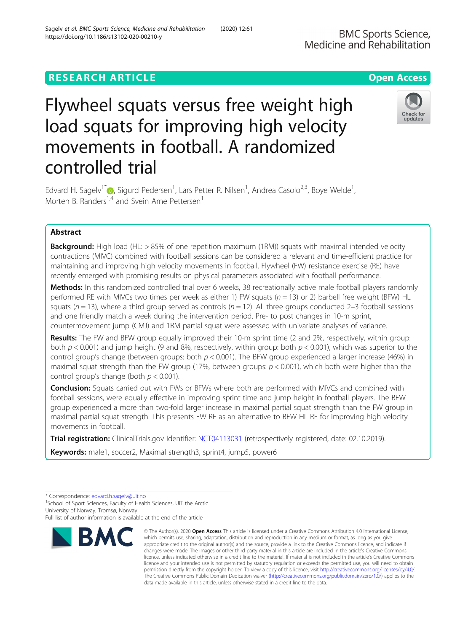controlled trial

# Flywheel squats versus free weight high load squats for improving high velocity movements in football. A randomized



Check for undates

Edvard H. Sagelv<sup>1\*</sup>®, Sigurd Pedersen<sup>1</sup>, Lars Petter R. Nilsen<sup>1</sup>, Andrea Casolo<sup>2,3</sup>, Boye Welde<sup>1</sup> , Morten B. Randers<sup>1,4</sup> and Svein Arne Pettersen<sup>1</sup>

# Abstract

**Background:** High load (HL: > 85% of one repetition maximum (1RM)) squats with maximal intended velocity contractions (MIVC) combined with football sessions can be considered a relevant and time-efficient practice for maintaining and improving high velocity movements in football. Flywheel (FW) resistance exercise (RE) have recently emerged with promising results on physical parameters associated with football performance.

Methods: In this randomized controlled trial over 6 weeks, 38 recreationally active male football players randomly performed RE with MIVCs two times per week as either 1) FW squats ( $n = 13$ ) or 2) barbell free weight (BFW) HL squats ( $n = 13$ ), where a third group served as controls ( $n = 12$ ). All three groups conducted 2–3 football sessions and one friendly match a week during the intervention period. Pre- to post changes in 10-m sprint, countermovement jump (CMJ) and 1RM partial squat were assessed with univariate analyses of variance.

Results: The FW and BFW group equally improved their 10-m sprint time (2 and 2%, respectively, within group: both  $p < 0.001$ ) and jump height (9 and 8%, respectively, within group: both  $p < 0.001$ ), which was superior to the control group's change (between groups: both  $p < 0.001$ ). The BFW group experienced a larger increase (46%) in maximal squat strength than the FW group (17%, between groups:  $p < 0.001$ ), which both were higher than the control group's change (both  $p < 0.001$ ).

**Conclusion:** Squats carried out with FWs or BFWs where both are performed with MIVCs and combined with football sessions, were equally effective in improving sprint time and jump height in football players. The BFW group experienced a more than two-fold larger increase in maximal partial squat strength than the FW group in maximal partial squat strength. This presents FW RE as an alternative to BFW HL RE for improving high velocity movements in football.

**Trial registration:** ClinicalTrials.gov Identifier: [NCT04113031](https://clinicaltrials.gov/ct2/show/NCT04113031) (retrospectively registered, date: 02.10.2019).

Keywords: male1, soccer2, Maximal strength3, sprint4, jump5, power6

\* Correspondence: [edvard.h.sagelv@uit.no](mailto:edvard.h.sagelv@uit.no) <sup>1</sup>

<sup>1</sup>School of Sport Sciences, Faculty of Health Sciences, UiT the Arctic University of Norway, Tromsø, Norway

Full list of author information is available at the end of the article



<sup>©</sup> The Author(s), 2020 **Open Access** This article is licensed under a Creative Commons Attribution 4.0 International License, which permits use, sharing, adaptation, distribution and reproduction in any medium or format, as long as you give appropriate credit to the original author(s) and the source, provide a link to the Creative Commons licence, and indicate if changes were made. The images or other third party material in this article are included in the article's Creative Commons licence, unless indicated otherwise in a credit line to the material. If material is not included in the article's Creative Commons licence and your intended use is not permitted by statutory regulation or exceeds the permitted use, you will need to obtain permission directly from the copyright holder. To view a copy of this licence, visit [http://creativecommons.org/licenses/by/4.0/.](http://creativecommons.org/licenses/by/4.0/) The Creative Commons Public Domain Dedication waiver [\(http://creativecommons.org/publicdomain/zero/1.0/](http://creativecommons.org/publicdomain/zero/1.0/)) applies to the data made available in this article, unless otherwise stated in a credit line to the data.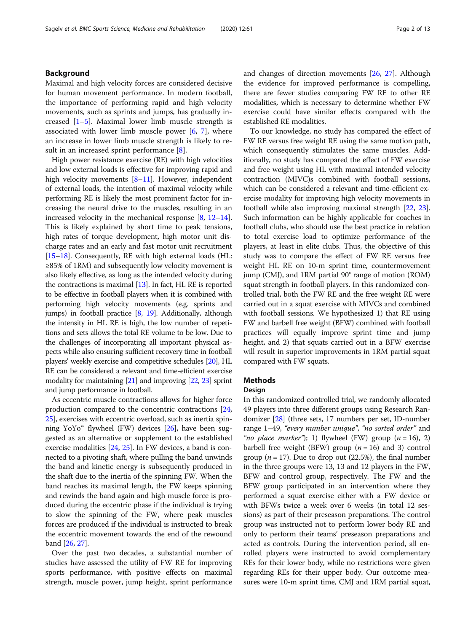# Background

Maximal and high velocity forces are considered decisive for human movement performance. In modern football, the importance of performing rapid and high velocity movements, such as sprints and jumps, has gradually increased [[1](#page-10-0)–[5\]](#page-11-0). Maximal lower limb muscle strength is associated with lower limb muscle power  $[6, 7]$  $[6, 7]$  $[6, 7]$  $[6, 7]$  $[6, 7]$ , where an increase in lower limb muscle strength is likely to re-sult in an increased sprint performance [[8\]](#page-11-0).

High power resistance exercise (RE) with high velocities and low external loads is effective for improving rapid and high velocity movements  $[8-11]$  $[8-11]$  $[8-11]$  $[8-11]$ . However, independent of external loads, the intention of maximal velocity while performing RE is likely the most prominent factor for increasing the neural drive to the muscles, resulting in an increased velocity in the mechanical response [[8,](#page-11-0) [12](#page-11-0)–[14](#page-11-0)]. This is likely explained by short time to peak tensions, high rates of torque development, high motor unit discharge rates and an early and fast motor unit recruitment [[15](#page-11-0)–[18\]](#page-11-0). Consequently, RE with high external loads (HL: ≥85% of 1RM) and subsequently low velocity movement is also likely effective, as long as the intended velocity during the contractions is maximal  $[13]$  $[13]$  $[13]$ . In fact, HL RE is reported to be effective in football players when it is combined with performing high velocity movements (e.g. sprints and jumps) in football practice [\[8,](#page-11-0) [19](#page-11-0)]. Additionally, although the intensity in HL RE is high, the low number of repetitions and sets allows the total RE volume to be low. Due to the challenges of incorporating all important physical aspects while also ensuring sufficient recovery time in football players' weekly exercise and competitive schedules [\[20\]](#page-11-0), HL RE can be considered a relevant and time-efficient exercise modality for maintaining [\[21](#page-11-0)] and improving [\[22,](#page-11-0) [23\]](#page-11-0) sprint and jump performance in football.

As eccentric muscle contractions allows for higher force production compared to the concentric contractions [[24](#page-11-0), [25](#page-11-0)], exercises with eccentric overload, such as inertia spin-ning YoYo<sup>™</sup> flywheel (FW) devices [\[26\]](#page-11-0), have been suggested as an alternative or supplement to the established exercise modalities [\[24,](#page-11-0) [25\]](#page-11-0). In FW devices, a band is connected to a pivoting shaft, where pulling the band unwinds the band and kinetic energy is subsequently produced in the shaft due to the inertia of the spinning FW. When the band reaches its maximal length, the FW keeps spinning and rewinds the band again and high muscle force is produced during the eccentric phase if the individual is trying to slow the spinning of the FW, where peak muscles forces are produced if the individual is instructed to break the eccentric movement towards the end of the rewound band [\[26,](#page-11-0) [27](#page-11-0)].

Over the past two decades, a substantial number of studies have assessed the utility of FW RE for improving sports performance, with positive effects on maximal strength, muscle power, jump height, sprint performance and changes of direction movements [[26](#page-11-0), [27](#page-11-0)]. Although the evidence for improved performance is compelling, there are fewer studies comparing FW RE to other RE modalities, which is necessary to determine whether FW exercise could have similar effects compared with the established RE modalities.

To our knowledge, no study has compared the effect of FW RE versus free weight RE using the same motion path, which consequently stimulates the same muscles. Additionally, no study has compared the effect of FW exercise and free weight using HL with maximal intended velocity contraction (MIVC)s combined with football sessions, which can be considered a relevant and time-efficient exercise modality for improving high velocity movements in football while also improving maximal strength [[22,](#page-11-0) [23](#page-11-0)]. Such information can be highly applicable for coaches in football clubs, who should use the best practice in relation to total exercise load to optimize performance of the players, at least in elite clubs. Thus, the objective of this study was to compare the effect of FW RE versus free weight HL RE on 10-m sprint time, countermovement jump (CMJ), and 1RM partial 90° range of motion (ROM) squat strength in football players. In this randomized controlled trial, both the FW RE and the free weight RE were carried out in a squat exercise with MIVCs and combined with football sessions. We hypothesized 1) that RE using FW and barbell free weight (BFW) combined with football practices will equally improve sprint time and jump height, and 2) that squats carried out in a BFW exercise will result in superior improvements in 1RM partial squat compared with FW squats.

# Methods

# **Design**

In this randomized controlled trial, we randomly allocated 49 players into three different groups using Research Randomizer [\[28\]](#page-11-0) (three sets, 17 numbers per set, ID-number range 1–49, "every number unique", "no sorted order" and "no place marker"); 1) flywheel (FW) group  $(n = 16)$ , 2) barbell free weight (BFW) group  $(n = 16)$  and 3) control group ( $n = 17$ ). Due to drop out (22.5%), the final number in the three groups were 13, 13 and 12 players in the FW, BFW and control group, respectively. The FW and the BFW group participated in an intervention where they performed a squat exercise either with a FW device or with BFWs twice a week over 6 weeks (in total 12 sessions) as part of their preseason preparations. The control group was instructed not to perform lower body RE and only to perform their teams' preseason preparations and acted as controls. During the intervention period, all enrolled players were instructed to avoid complementary REs for their lower body, while no restrictions were given regarding REs for their upper body. Our outcome measures were 10-m sprint time, CMJ and 1RM partial squat,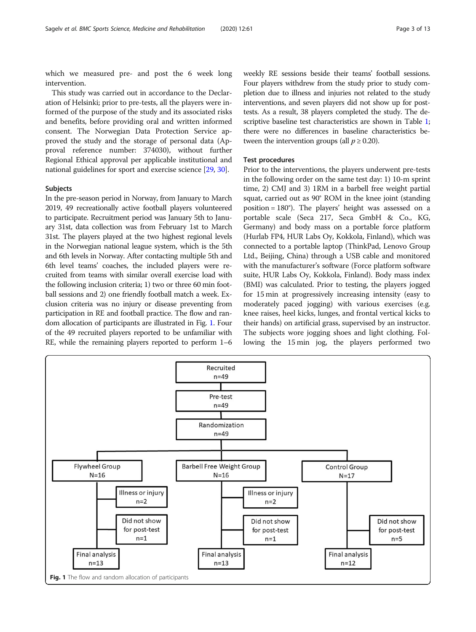which we measured pre- and post the 6 week long intervention.

This study was carried out in accordance to the Declaration of Helsinki; prior to pre-tests, all the players were informed of the purpose of the study and its associated risks and benefits, before providing oral and written informed consent. The Norwegian Data Protection Service approved the study and the storage of personal data (Approval reference number: 374030), without further Regional Ethical approval per applicable institutional and national guidelines for sport and exercise science [[29](#page-11-0), [30\]](#page-11-0).

## Subjects

In the pre-season period in Norway, from January to March 2019, 49 recreationally active football players volunteered to participate. Recruitment period was January 5th to January 31st, data collection was from February 1st to March 31st. The players played at the two highest regional levels in the Norwegian national league system, which is the 5th and 6th levels in Norway. After contacting multiple 5th and 6th level teams' coaches, the included players were recruited from teams with similar overall exercise load with the following inclusion criteria; 1) two or three 60 min football sessions and 2) one friendly football match a week. Exclusion criteria was no injury or disease preventing from participation in RE and football practice. The flow and random allocation of participants are illustrated in Fig. 1. Four of the 49 recruited players reported to be unfamiliar with RE, while the remaining players reported to perform 1–6 weekly RE sessions beside their teams' football sessions. Four players withdrew from the study prior to study completion due to illness and injuries not related to the study interventions, and seven players did not show up for posttests. As a result, 38 players completed the study. The de-scriptive baseline test characteristics are shown in Table [1](#page-3-0); there were no differences in baseline characteristics between the intervention groups (all  $p \ge 0.20$ ).

# Test procedures

Prior to the interventions, the players underwent pre-tests in the following order on the same test day: 1) 10-m sprint time, 2) CMJ and 3) 1RM in a barbell free weight partial squat, carried out as 90° ROM in the knee joint (standing position = 180°). The players' height was assessed on a portable scale (Seca 217, Seca GmbH & Co., KG, Germany) and body mass on a portable force platform (Hurlab FP4, HUR Labs Oy, Kokkola, Finland), which was connected to a portable laptop (ThinkPad, Lenovo Group Ltd., Beijing, China) through a USB cable and monitored with the manufacturer's software (Force platform software suite, HUR Labs Oy, Kokkola, Finland). Body mass index (BMI) was calculated. Prior to testing, the players jogged for 15 min at progressively increasing intensity (easy to moderately paced jogging) with various exercises (e.g. knee raises, heel kicks, lunges, and frontal vertical kicks to their hands) on artificial grass, supervised by an instructor. The subjects wore jogging shoes and light clothing. Following the 15 min jog, the players performed two

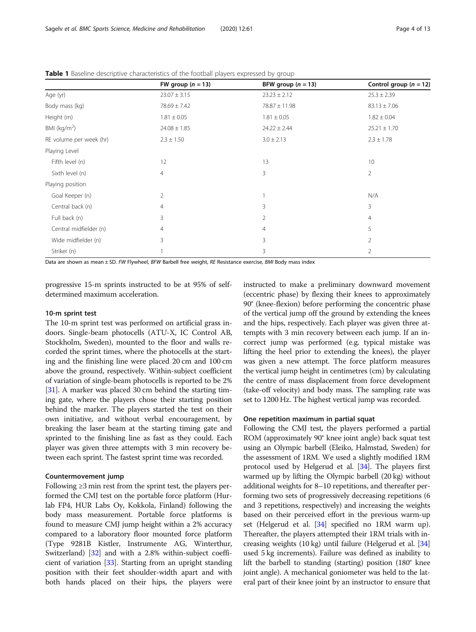|                          | FW group $(n = 13)$ | BFW group $(n = 13)$ | Control group $(n = 12)$ |  |
|--------------------------|---------------------|----------------------|--------------------------|--|
| Age (yr)                 | $23.07 \pm 3.15$    | $23.23 \pm 2.12$     | $25.3 \pm 2.39$          |  |
| Body mass (kg)           | $78.69 \pm 7.42$    | 78.87 ± 11.98        | $83.13 \pm 7.06$         |  |
| Height (m)               | $1.81 \pm 0.05$     | $1.81 \pm 0.05$      | $1.82 \pm 0.04$          |  |
| BMI (kg/m <sup>2</sup> ) | $24.08 \pm 1.85$    | $24.22 \pm 2.44$     | $25.21 \pm 1.70$         |  |
| RE volume per week (hr)  | $2.3 \pm 1.50$      | $3.0 \pm 2.13$       | $2.3 \pm 1.78$           |  |
| Playing Level            |                     |                      |                          |  |
| Fifth level (n)          | 12                  | 13                   | 10                       |  |
| Sixth level (n)          | $\overline{4}$      | 3                    | 2                        |  |
| Playing position         |                     |                      |                          |  |
| Goal Keeper (n)          | $\overline{2}$      |                      | N/A                      |  |
| Central back (n)         | $\overline{4}$      | 3                    | 3                        |  |
| Full back (n)            | 3                   | $\overline{2}$       | 4                        |  |
| Central midfielder (n)   | $\overline{4}$      | 4                    | 5                        |  |
| Wide midfielder (n)      | 3                   | 3                    | 2                        |  |
| Striker (n)              |                     | 3                    | 2                        |  |

<span id="page-3-0"></span>Table 1 Baseline descriptive characteristics of the football players expressed by group

Data are shown as mean ± SD. FW Flywheel, BFW Barbell free weight, RE Resistance exercise, BMI Body mass index

progressive 15-m sprints instructed to be at 95% of selfdetermined maximum acceleration.

#### 10-m sprint test

The 10-m sprint test was performed on artificial grass indoors. Single-beam photocells (ATU-X, IC Control AB, Stockholm, Sweden), mounted to the floor and walls recorded the sprint times, where the photocells at the starting and the finishing line were placed 20 cm and 100 cm above the ground, respectively. Within-subject coefficient of variation of single-beam photocells is reported to be 2% [[31](#page-11-0)]. A marker was placed 30 cm behind the starting timing gate, where the players chose their starting position behind the marker. The players started the test on their own initiative, and without verbal encouragement, by breaking the laser beam at the starting timing gate and sprinted to the finishing line as fast as they could. Each player was given three attempts with 3 min recovery between each sprint. The fastest sprint time was recorded.

# Countermovement jump

Following  $\geq$ 3 min rest from the sprint test, the players performed the CMJ test on the portable force platform (Hurlab FP4, HUR Labs Oy, Kokkola, Finland) following the body mass measurement. Portable force platforms is found to measure CMJ jump height within a 2% accuracy compared to a laboratory floor mounted force platform (Type 9281B Kistler, Instrumente AG, Winterthur, Switzerland) [[32\]](#page-11-0) and with a 2.8% within-subject coefficient of variation [\[33\]](#page-11-0). Starting from an upright standing position with their feet shoulder-width apart and with both hands placed on their hips, the players were instructed to make a preliminary downward movement (eccentric phase) by flexing their knees to approximately 90° (knee-flexion) before performing the concentric phase of the vertical jump off the ground by extending the knees and the hips, respectively. Each player was given three attempts with 3 min recovery between each jump. If an incorrect jump was performed (e.g. typical mistake was lifting the heel prior to extending the knees), the player was given a new attempt. The force platform measures the vertical jump height in centimetres (cm) by calculating the centre of mass displacement from force development (take-off velocity) and body mass. The sampling rate was set to 1200 Hz. The highest vertical jump was recorded.

#### One repetition maximum in partial squat

Following the CMJ test, the players performed a partial ROM (approximately 90° knee joint angle) back squat test using an Olympic barbell (Eleiko, Halmstad, Sweden) for the assessment of 1RM. We used a slightly modified 1RM protocol used by Helgerud et al. [\[34](#page-11-0)]. The players first warmed up by lifting the Olympic barbell (20 kg) without additional weights for 8–10 repetitions, and thereafter performing two sets of progressively decreasing repetitions (6 and 3 repetitions, respectively) and increasing the weights based on their perceived effort in the previous warm-up set (Helgerud et al. [\[34](#page-11-0)] specified no 1RM warm up). Thereafter, the players attempted their 1RM trials with increasing weights (10 kg) until failure (Helgerud et al. [[34](#page-11-0)] used 5 kg increments). Failure was defined as inability to lift the barbell to standing (starting) position (180° knee joint angle). A mechanical goniometer was held to the lateral part of their knee joint by an instructor to ensure that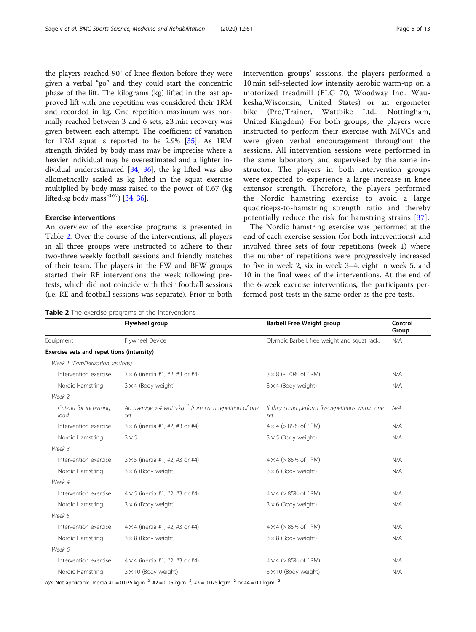the players reached 90° of knee flexion before they were given a verbal "go" and they could start the concentric phase of the lift. The kilograms (kg) lifted in the last approved lift with one repetition was considered their 1RM and recorded in kg. One repetition maximum was normally reached between 3 and 6 sets,  $\geq 3$  min recovery was given between each attempt. The coefficient of variation for 1RM squat is reported to be 2.9% [\[35\]](#page-11-0). As 1RM strength divided by body mass may be imprecise where a heavier individual may be overestimated and a lighter individual underestimated [[34,](#page-11-0) [36](#page-11-0)], the kg lifted was also allometrically scaled as kg lifted in the squat exercise multiplied by body mass raised to the power of 0.67 (kg lifted kg body mass<sup>-0.67</sup>) [[34](#page-11-0), [36\]](#page-11-0).

# Exercise interventions

An overview of the exercise programs is presented in Table 2. Over the course of the interventions, all players in all three groups were instructed to adhere to their two-three weekly football sessions and friendly matches of their team. The players in the FW and BFW groups started their RE interventions the week following pretests, which did not coincide with their football sessions (i.e. RE and football sessions was separate). Prior to both

Table 2 The exercise programs of the interventions

intervention groups' sessions, the players performed a 10 min self-selected low intensity aerobic warm-up on a motorized treadmill (ELG 70, Woodway Inc., Waukesha,Wisconsin, United States) or an ergometer bike (Pro/Trainer, Wattbike Ltd., Nottingham, United Kingdom). For both groups, the players were instructed to perform their exercise with MIVCs and were given verbal encouragement throughout the sessions. All intervention sessions were performed in the same laboratory and supervised by the same instructor. The players in both intervention groups were expected to experience a large increase in knee extensor strength. Therefore, the players performed the Nordic hamstring exercise to avoid a large quadriceps-to-hamstring strength ratio and thereby potentially reduce the risk for hamstring strains [[37\]](#page-11-0).

The Nordic hamstring exercise was performed at the end of each exercise session (for both interventions) and involved three sets of four repetitions (week 1) where the number of repetitions were progressively increased to five in week 2, six in week 3–4, eight in week 5, and 10 in the final week of the interventions. At the end of the 6-week exercise interventions, the participants performed post-tests in the same order as the pre-tests.

|                                           | Flywheel group                                                    | <b>Barbell Free Weight group</b>                         | Control<br>Group |
|-------------------------------------------|-------------------------------------------------------------------|----------------------------------------------------------|------------------|
| Equipment                                 | Flywheel Device                                                   | Olympic Barbell, free weight and squat rack.             | N/A              |
| Exercise sets and repetitions (intensity) |                                                                   |                                                          |                  |
| Week 1 (Familiarization sessions)         |                                                                   |                                                          |                  |
| Intervention exercise                     | $3 \times 6$ (inertia #1, #2, #3 or #4)                           | $3 \times 8$ (~70% of 1RM)                               | N/A              |
| Nordic Hamstring                          | $3 \times 4$ (Body weight)                                        | $3 \times 4$ (Body weight)                               | N/A              |
| Week 2                                    |                                                                   |                                                          |                  |
| Criteria for increasing<br>load           | An average > 4 watts $kq^{-1}$ from each repetition of one<br>set | If they could perform five repetitions within one<br>set | N/A              |
| Intervention exercise                     | $3 \times 6$ (inertia #1, #2, #3 or #4)                           | $4 \times 4$ ( $> 85\%$ of 1RM)                          |                  |
| Nordic Hamstring                          | $3 \times 5$                                                      | $3 \times 5$ (Body weight)                               | N/A              |
| Week 3                                    |                                                                   |                                                          |                  |
| Intervention exercise                     | $3 \times 5$ (inertia #1, #2, #3 or #4)                           | $4 \times 4$ ( $> 85\%$ of 1RM)                          | N/A              |
| Nordic Hamstring                          | $3 \times 6$ (Body weight)                                        | $3 \times 6$ (Body weight)                               | N/A              |
| Week 4                                    |                                                                   |                                                          |                  |
| Intervention exercise                     | $4 \times 5$ (inertia #1, #2, #3 or #4)                           | $4 \times 4$ ( $> 85\%$ of 1RM)                          | N/A              |
| Nordic Hamstring                          | $3 \times 6$ (Body weight)                                        | $3 \times 6$ (Body weight)                               | N/A              |
| Week 5                                    |                                                                   |                                                          |                  |
| Intervention exercise                     | $4 \times 4$ (inertia #1, #2, #3 or #4)                           | $4 \times 4$ ( $> 85\%$ of 1RM)                          | N/A              |
| Nordic Hamstring                          | $3 \times 8$ (Body weight)                                        | $3 \times 8$ (Body weight)                               | N/A              |
| Week 6                                    |                                                                   |                                                          |                  |
| Intervention exercise                     | $4 \times 4$ (inertia #1, #2, #3 or #4)                           | $4 \times 4$ ( $> 85\%$ of 1RM)                          | N/A              |
| Nordic Hamstring                          | $3 \times 10$ (Body weight)                                       | $3 \times 10$ (Body weight)                              | N/A              |

 $N/A$  Not applicable. Inertia #1 = 0.025 kg·m $^{-2}$ , #2 = 0.05 kg·m $^{-2}$ , #3 = 0.075 kg·m $^{-2}$  or #4 = 0.1 kg·m $^{-2}$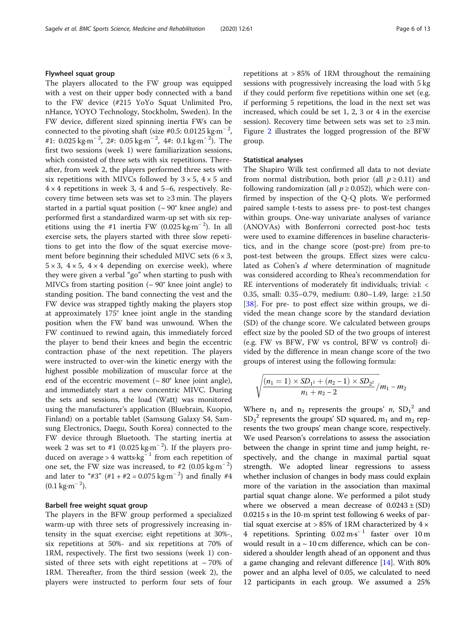# Flywheel squat group

The players allocated to the FW group was equipped with a vest on their upper body connected with a band to the FW device (#215 YoYo Squat Unlimited Pro, nHance, YOYO Technology, Stockholm, Sweden). In the FW device, different sized spinning inertia FWs can be connected to the pivoting shaft (size #0.5: 0.0125 kg⋅m<sup>-2</sup>, #1: 0.025 kg·m<sup>−2</sup>, 2#: 0.05 kg·m<sup>−2</sup>, 4#: 0.1 kg·m<sup>−2</sup>). The first two sessions (week 1) were familiarization sessions, which consisted of three sets with six repetitions. Thereafter, from week 2, the players performed three sets with six repetitions with MIVCs followed by  $3 \times 5$ ,  $4 \times 5$  and  $4 \times 4$  repetitions in week 3, 4 and 5–6, respectively. Recovery time between sets was set to ≥3 min. The players started in a partial squat position  $({\sim} 90^{\circ}$  knee angle) and performed first a standardized warm-up set with six repetitions using the #1 inertia FW (0.025 kg·m<sup>−</sup> <sup>2</sup> ). In all exercise sets, the players started with three slow repetitions to get into the flow of the squat exercise movement before beginning their scheduled MIVC sets  $(6 \times 3, 1)$  $5 \times 3$ ,  $4 \times 5$ ,  $4 \times 4$  depending on exercise week), where they were given a verbal "go" when starting to push with MIVCs from starting position  $({\sim} 90^{\circ}$  knee joint angle) to standing position. The band connecting the vest and the FW device was strapped tightly making the players stop at approximately 175° knee joint angle in the standing position when the FW band was unwound. When the FW continued to rewind again, this immediately forced the player to bend their knees and begin the eccentric contraction phase of the next repetition. The players were instructed to over-win the kinetic energy with the highest possible mobilization of muscular force at the end of the eccentric movement  $({\sim 80^{\circ}}$  knee joint angle), and immediately start a new concentric MIVC. During the sets and sessions, the load (Watt) was monitored using the manufacturer's application (Bluebrain, Kuopio, Finland) on a portable tablet (Samsung Galaxy S4, Samsung Electronics, Daegu, South Korea) connected to the FW device through Bluetooth. The starting inertia at week 2 was set to #1 (0.025 kg·m<sup>-2</sup>). If the players produced on average > 4 watts⋅kg<sup>-1</sup> from each repetition of one set, the FW size was increased, to #2  $(0.05 \text{ kg} \cdot \text{m}^{-2})$ and later to "#3"  $(#1 + #2 = 0.075 \text{ kg} \cdot \text{m}^{-2})$  and finally #4  $(0.1 \text{ kg} \cdot \text{m}^{-2})$ .

#### Barbell free weight squat group

The players in the BFW group performed a specialized warm-up with three sets of progressively increasing intensity in the squat exercise; eight repetitions at 30%-, six repetitions at 50%- and six repetitions at 70% of 1RM, respectively. The first two sessions (week 1) consisted of three sets with eight repetitions at  $\sim$  70% of 1RM. Thereafter, from the third session (week 2), the players were instructed to perform four sets of four repetitions at > 85% of 1RM throughout the remaining sessions with progressively increasing the load with 5 kg if they could perform five repetitions within one set (e.g. if performing 5 repetitions, the load in the next set was increased, which could be set 1, 2, 3 or 4 in the exercise session). Recovery time between sets was set to ≥3 min. Figure [2](#page-6-0) illustrates the logged progression of the BFW group.

## Statistical analyses

The Shapiro Wilk test confirmed all data to not deviate from normal distribution, both prior (all  $p \ge 0.11$ ) and following randomization (all  $p \ge 0.052$ ), which were confirmed by inspection of the Q-Q plots. We performed paired sample t-tests to assess pre- to post-test changes within groups. One-way univariate analyses of variance (ANOVAs) with Bonferroni corrected post-hoc tests were used to examine differences in baseline characteristics, and in the change score (post-pre) from pre-to post-test between the groups. Effect sizes were calculated as Cohen's d where determination of magnitude was considered according to Rhea's recommendation for RE interventions of moderately fit individuals; trivial: < 0.35, small: 0.35–0.79, medium: 0.80–1.49, large: ≥1.50 [[38\]](#page-11-0). For pre- to post effect size within groups, we divided the mean change score by the standard deviation (SD) of the change score. We calculated between groups effect size by the pooled SD of the two groups of interest (e.g. FW vs BFW, FW vs control, BFW vs control) divided by the difference in mean change score of the two groups of interest using the following formula:

$$
\sqrt{\frac{(n_1-1)\times SD_{1^2}+(n_2-1)\times SD_{2^2}}{n_1+n_2-2}}/m_1-m_2
$$

ffiffiffiffiffiffiffiffiffiffiffiffiffiffiffiffiffiffiffiffiffiffiffiffiffiffiffiffiffiffiffiffiffiffiffiffiffiffiffiffiffiffiffiffiffiffiffiffiffiffiffiffiffiffiffiffiffiffiffiffiffiffiffiffiffiffiffiffiffiffiffiffi

Where  $n_1$  and  $n_2$  represents the groups' *n*,  $SD_1^2$  and  $SD_2^2$  represents the groups' SD squared,  $m_1$  and  $m_2$  represents the two groups' mean change score, respectively. We used Pearson's correlations to assess the association between the change in sprint time and jump height, respectively, and the change in maximal partial squat strength. We adopted linear regressions to assess whether inclusion of changes in body mass could explain more of the variation in the association than maximal partial squat change alone. We performed a pilot study where we observed a mean decrease of  $0.0243 \pm (SD)$ 0.0215 s in the 10-m sprint test following 6 weeks of partial squat exercise at  $> 85\%$  of 1RM characterized by  $4 \times$ 4 repetitions. Sprinting 0.02 m⋅s<sup>-1</sup> faster over 10 m would result in  $a \sim 10$  cm difference, which can be considered a shoulder length ahead of an opponent and thus a game changing and relevant difference [[14\]](#page-11-0). With 80% power and an alpha level of 0.05, we calculated to need 12 participants in each group. We assumed a 25%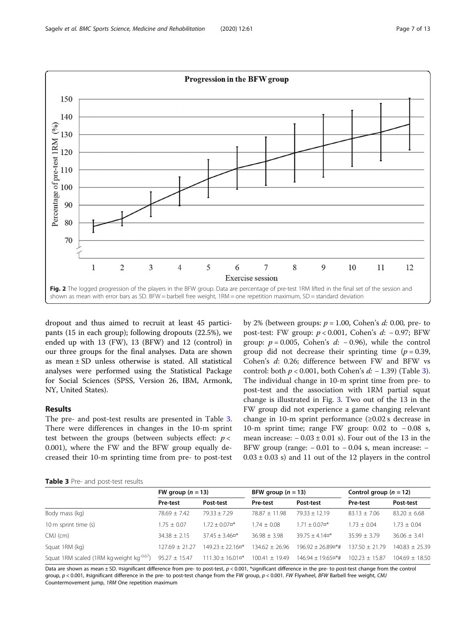<span id="page-6-0"></span>

dropout and thus aimed to recruit at least 45 participants (15 in each group); following dropouts (22.5%), we ended up with 13 (FW), 13 (BFW) and 12 (control) in our three groups for the final analyses. Data are shown as mean ± SD unless otherwise is stated. All statistical analyses were performed using the Statistical Package for Social Sciences (SPSS, Version 26, IBM, Armonk, NY, United States).

# Results

The pre- and post-test results are presented in Table 3. There were differences in changes in the 10-m sprint test between the groups (between subjects effect:  $p <$ 0.001), where the FW and the BFW group equally decreased their 10-m sprinting time from pre- to post-test by 2% (between groups:  $p = 1.00$ , Cohen's d: 0.00, pre- to post-test: FW group:  $p < 0.001$ , Cohen's d: −0.97; BFW group:  $p = 0.005$ , Cohen's d: -0.96), while the control group did not decrease their sprinting time  $(p = 0.39,$ Cohen's d: 0.26; difference between FW and BFW vs control: both  $p < 0.001$ , both Cohen's  $d: -1.39$ ) (Table 3). The individual change in 10-m sprint time from pre- to post-test and the association with 1RM partial squat change is illustrated in Fig. [3.](#page-7-0) Two out of the 13 in the FW group did not experience a game changing relevant change in 10-m sprint performance  $(\geq 0.02 \text{ s}$  decrease in 10-m sprint time; range FW group: 0.02 to − 0.08 s, mean increase:  $-0.03 \pm 0.01$  s). Four out of the 13 in the BFW group (range:  $-0.01$  to  $-0.04$  s, mean increase:  $0.03 \pm 0.03$  s) and 11 out of the 12 players in the control

# Table 3 Pre- and post-test results

|                                                       | FW group $(n = 13)$ |                   | BFW group $(n = 13)$ |                      | Control group $(n = 12)$ |                  |
|-------------------------------------------------------|---------------------|-------------------|----------------------|----------------------|--------------------------|------------------|
|                                                       | Pre-test            | Post-test         | <b>Pre-test</b>      | Post-test            | Pre-test                 | Post-test        |
| Body mass (kg)                                        | $78.69 + 7.42$      | $79.33 + 7.29$    | $78.87 + 11.98$      | $79.33 + 12.19$      | $83.13 + 7.06$           | $83.20 + 6.68$   |
| 10 m sprint time (s)                                  | $1.75 \pm 0.07$     | $1.72 + 0.07$ ¤*  | $1.74 + 0.08$        | $1.71 + 0.07$ ¤*     | $1.73 + 0.04$            | $1.73 + 0.04$    |
| CMJ (cm)                                              | $34.38 + 2.15$      | $37.45 + 3.46x*$  | $36.98 + 3.98$       | $39.75 + 4.14x^*$    | $35.99 + 3.79$           | $36.06 + 3.41$   |
| Squat 1RM (kg)                                        | 127.69 + 21.27      | $14923 + 2216a*$  | 134.62 + 26.96       | $19692 + 2689a*#$    | 13750 + 2179             | $140.83 + 25.39$ |
| Squat 1RM scaled (1RM kg weight kg <sup>-0.67</sup> ) | $95.27 + 15.47$     | $111.30 + 16.01*$ | $100.41 + 19.49$     | $146.94 + 19.65a*$ # | $10223 + 1587$           | $104.69 + 18.50$ |

Data are shown as mean ± SD. ¤significant difference from pre- to post-test,  $p < 0.001$ , \*significant difference in the pre- to post-test change from the control group,  $p < 0.001$ , #significant difference in the pre- to post-test change from the FW group,  $p < 0.001$ . FW Flywheel, BFW Barbell free weight, CMJ Countermovement jump, 1RM One repetition maximum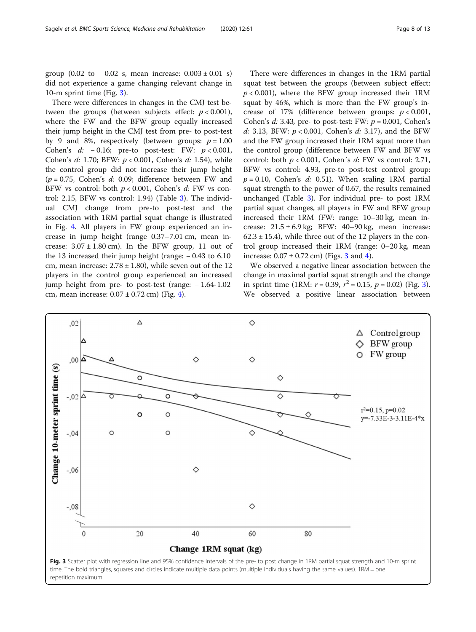<span id="page-7-0"></span>group  $(0.02 \text{ to } -0.02 \text{ s}, \text{ mean increase: } 0.003 \pm 0.01 \text{ s})$ did not experience a game changing relevant change in 10-m sprint time (Fig. 3).

There were differences in changes in the CMJ test between the groups (between subjects effect:  $p < 0.001$ ), where the FW and the BFW group equally increased their jump height in the CMJ test from pre- to post-test by 9 and 8%, respectively (between groups:  $p = 1.00$ Cohen's  $d$ : − 0.16; pre-to post-test: FW:  $p < 0.001$ , Cohen's  $d$ : 1.70; BFW:  $p < 0.001$ , Cohen's  $d$ : 1.54), while the control group did not increase their jump height  $(p = 0.75, \text{ Cohen's } d: 0.09; \text{ difference between FW and}$ BFW vs control: both  $p < 0.001$ , Cohen's d: FW vs control: 2.15, BFW vs control: 1.94) (Table [3](#page-6-0)). The individual CMJ change from pre-to post-test and the association with 1RM partial squat change is illustrated in Fig. [4](#page-8-0). All players in FW group experienced an increase in jump height (range 0.37–7.01 cm, mean increase:  $3.07 \pm 1.80$  cm). In the BFW group, 11 out of the 13 increased their jump height (range: − 0.43 to 6.10 cm, mean increase:  $2.78 \pm 1.80$ ), while seven out of the 12 players in the control group experienced an increased jump height from pre- to post-test (range: − 1.64-1.02 cm, mean increase:  $0.07 \pm 0.72$  cm) (Fig. [4](#page-8-0)).

There were differences in changes in the 1RM partial squat test between the groups (between subject effect:  $p < 0.001$ ), where the BFW group increased their 1RM squat by 46%, which is more than the FW group's increase of 17% (difference between groups:  $p < 0.001$ , Cohen's d: 3.43, pre- to post-test: FW:  $p = 0.001$ , Cohen's d: 3.13, BFW:  $p < 0.001$ , Cohen's d: 3.17), and the BFW and the FW group increased their 1RM squat more than the control group (difference between FW and BFW vs control: both  $p < 0.001$ , Cohen's d: FW vs control: 2.71, BFW vs control: 4.93, pre-to post-test control group:  $p = 0.10$ , Cohen's d: 0.51). When scaling 1RM partial squat strength to the power of 0.67, the results remained unchanged (Table [3](#page-6-0)). For individual pre- to post 1RM partial squat changes, all players in FW and BFW group increased their 1RM (FW: range: 10–30 kg, mean increase:  $21.5 \pm 6.9$  kg; BFW:  $40-90$  kg, mean increase:  $62.3 \pm 15.4$ ), while three out of the 12 players in the control group increased their 1RM (range: 0–20 kg, mean increase:  $0.07 \pm 0.72$  cm) (Figs. 3 and [4\)](#page-8-0).

We observed a negative linear association between the change in maximal partial squat strength and the change in sprint time (1RM:  $r = 0.39$ ,  $r^2 = 0.15$ ,  $p = 0.02$ ) (Fig. 3). We observed a positive linear association between

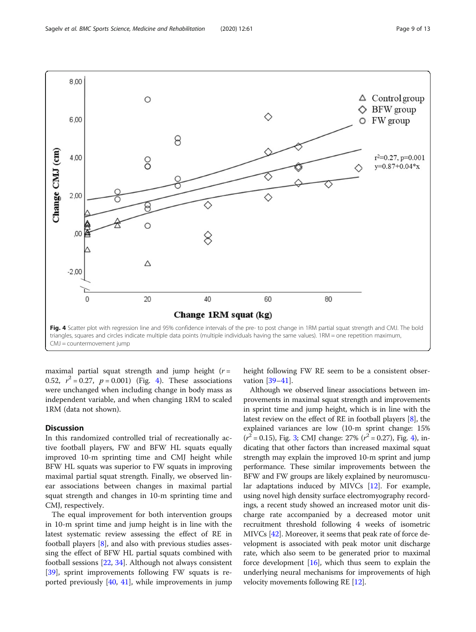<span id="page-8-0"></span>

CMJ = countermovement jump

maximal partial squat strength and jump height  $(r =$ 0.52,  $r^2 = 0.27$ ,  $p = 0.001$ ) (Fig. 4). These associations were unchanged when including change in body mass as independent variable, and when changing 1RM to scaled 1RM (data not shown).

# **Discussion**

In this randomized controlled trial of recreationally active football players, FW and BFW HL squats equally improved 10-m sprinting time and CMJ height while BFW HL squats was superior to FW squats in improving maximal partial squat strength. Finally, we observed linear associations between changes in maximal partial squat strength and changes in 10-m sprinting time and CMJ, respectively.

The equal improvement for both intervention groups in 10-m sprint time and jump height is in line with the latest systematic review assessing the effect of RE in football players [[8\]](#page-11-0), and also with previous studies assessing the effect of BFW HL partial squats combined with football sessions [\[22](#page-11-0), [34\]](#page-11-0). Although not always consistent [[39\]](#page-11-0), sprint improvements following FW squats is reported previously  $[40, 41]$  $[40, 41]$  $[40, 41]$  $[40, 41]$  $[40, 41]$ , while improvements in jump height following FW RE seem to be a consistent observation [[39](#page-11-0)–[41\]](#page-11-0).

Although we observed linear associations between improvements in maximal squat strength and improvements in sprint time and jump height, which is in line with the latest review on the effect of RE in football players [\[8\]](#page-11-0), the explained variances are low (10-m sprint change: 15%  $(r^2 = 0.15)$ , Fig. [3;](#page-7-0) CMJ change: 27%  $(r^2 = 0.27)$ , Fig. 4), indicating that other factors than increased maximal squat strength may explain the improved 10-m sprint and jump performance. These similar improvements between the BFW and FW groups are likely explained by neuromuscular adaptations induced by MIVCs [\[12\]](#page-11-0). For example, using novel high density surface electromyography recordings, a recent study showed an increased motor unit discharge rate accompanied by a decreased motor unit recruitment threshold following 4 weeks of isometric MIVCs [\[42](#page-11-0)]. Moreover, it seems that peak rate of force development is associated with peak motor unit discharge rate, which also seem to be generated prior to maximal force development [[16](#page-11-0)], which thus seem to explain the underlying neural mechanisms for improvements of high velocity movements following RE [\[12](#page-11-0)].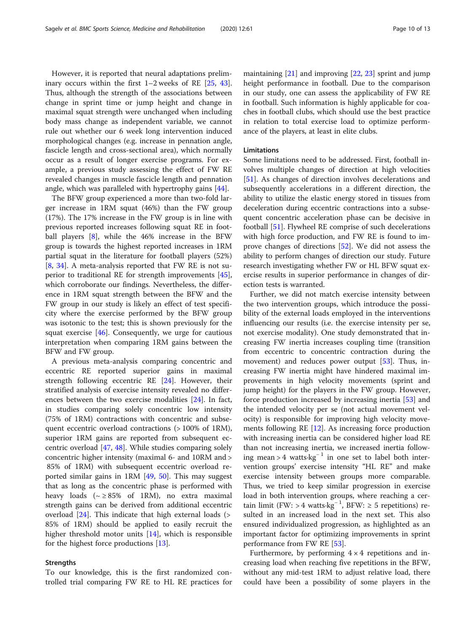However, it is reported that neural adaptations preliminary occurs within the first  $1-2$  weeks of RE  $[25, 43]$  $[25, 43]$  $[25, 43]$  $[25, 43]$  $[25, 43]$ . Thus, although the strength of the associations between change in sprint time or jump height and change in maximal squat strength were unchanged when including body mass change as independent variable, we cannot rule out whether our 6 week long intervention induced morphological changes (e.g. increase in pennation angle, fascicle length and cross-sectional area), which normally occur as a result of longer exercise programs. For example, a previous study assessing the effect of FW RE revealed changes in muscle fascicle length and pennation angle, which was paralleled with hypertrophy gains [[44](#page-11-0)].

The BFW group experienced a more than two-fold larger increase in 1RM squat (46%) than the FW group (17%). The 17% increase in the FW group is in line with previous reported increases following squat RE in football players [\[8](#page-11-0)], while the 46% increase in the BFW group is towards the highest reported increases in 1RM partial squat in the literature for football players (52%) [[8,](#page-11-0) [34](#page-11-0)]. A meta-analysis reported that FW RE is not superior to traditional RE for strength improvements [\[45](#page-11-0)], which corroborate our findings. Nevertheless, the difference in 1RM squat strength between the BFW and the FW group in our study is likely an effect of test specificity where the exercise performed by the BFW group was isotonic to the test; this is shown previously for the squat exercise [\[46](#page-11-0)]. Consequently, we urge for cautious interpretation when comparing 1RM gains between the BFW and FW group.

A previous meta-analysis comparing concentric and eccentric RE reported superior gains in maximal strength following eccentric RE [[24\]](#page-11-0). However, their stratified analysis of exercise intensity revealed no differences between the two exercise modalities [[24\]](#page-11-0). In fact, in studies comparing solely concentric low intensity (75% of 1RM) contractions with concentric and subsequent eccentric overload contractions (> 100% of 1RM), superior 1RM gains are reported from subsequent eccentric overload [[47,](#page-11-0) [48\]](#page-11-0). While studies comparing solely concentric higher intensity (maximal 6- and 10RM and > 85% of 1RM) with subsequent eccentric overload reported similar gains in 1RM [[49,](#page-11-0) [50](#page-11-0)]. This may suggest that as long as the concentric phase is performed with heavy loads ( $\sim \geq 85\%$  of 1RM), no extra maximal strength gains can be derived from additional eccentric overload  $[24]$  $[24]$ . This indicate that high external loads (> 85% of 1RM) should be applied to easily recruit the higher threshold motor units [\[14](#page-11-0)], which is responsible for the highest force productions [[13\]](#page-11-0).

#### Strengths

To our knowledge, this is the first randomized controlled trial comparing FW RE to HL RE practices for maintaining  $[21]$  $[21]$  $[21]$  and improving  $[22, 23]$  $[22, 23]$  $[22, 23]$  $[22, 23]$  $[22, 23]$  sprint and jump height performance in football. Due to the comparison in our study, one can assess the applicability of FW RE in football. Such information is highly applicable for coaches in football clubs, which should use the best practice in relation to total exercise load to optimize performance of the players, at least in elite clubs.

#### **Limitations**

Some limitations need to be addressed. First, football involves multiple changes of direction at high velocities [[51\]](#page-11-0). As changes of direction involves decelerations and subsequently accelerations in a different direction, the ability to utilize the elastic energy stored in tissues from deceleration during eccentric contractions into a subsequent concentric acceleration phase can be decisive in football [[51](#page-11-0)]. Flywheel RE comprise of such decelerations with high force production, and FW RE is found to improve changes of directions [[52](#page-12-0)]. We did not assess the ability to perform changes of direction our study. Future research investigating whether FW or HL BFW squat exercise results in superior performance in changes of direction tests is warranted.

Further, we did not match exercise intensity between the two intervention groups, which introduce the possibility of the external loads employed in the interventions influencing our results (i.e. the exercise intensity per se, not exercise modality). One study demonstrated that increasing FW inertia increases coupling time (transition from eccentric to concentric contraction during the movement) and reduces power output [[53](#page-12-0)]. Thus, increasing FW inertia might have hindered maximal improvements in high velocity movements (sprint and jump height) for the players in the FW group. However, force production increased by increasing inertia [\[53](#page-12-0)] and the intended velocity per se (not actual movement velocity) is responsible for improving high velocity movements following RE [\[12](#page-11-0)]. As increasing force production with increasing inertia can be considered higher load RE than not increasing inertia, we increased inertia following mean > 4 watts⋅kg<sup>-1</sup> in one set to label both intervention groups' exercise intensity "HL RE" and make exercise intensity between groups more comparable. Thus, we tried to keep similar progression in exercise load in both intervention groups, where reaching a certain limit (FW: > 4 watts⋅kg<sup>-1</sup>, BFW: ≥ 5 repetitions) resulted in an increased load in the next set. This also ensured individualized progression, as highlighted as an important factor for optimizing improvements in sprint performance from FW RE [[53\]](#page-12-0).

Furthermore, by performing  $4 \times 4$  repetitions and increasing load when reaching five repetitions in the BFW, without any mid-test 1RM to adjust relative load, there could have been a possibility of some players in the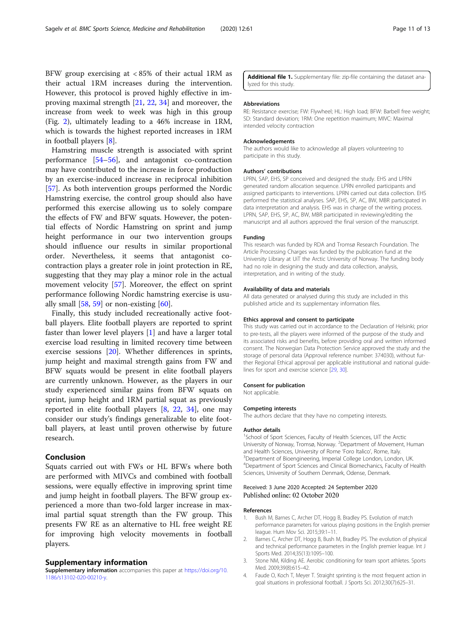<span id="page-10-0"></span>BFW group exercising at < 85% of their actual 1RM as their actual 1RM increases during the intervention. However, this protocol is proved highly effective in improving maximal strength [\[21,](#page-11-0) [22,](#page-11-0) [34\]](#page-11-0) and moreover, the increase from week to week was high in this group (Fig. [2](#page-6-0)), ultimately leading to a 46% increase in 1RM, which is towards the highest reported increases in 1RM in football players [[8\]](#page-11-0).

Hamstring muscle strength is associated with sprint performance [\[54](#page-12-0)–[56\]](#page-12-0), and antagonist co-contraction may have contributed to the increase in force production by an exercise-induced increase in reciprocal inhibition [[57\]](#page-12-0). As both intervention groups performed the Nordic Hamstring exercise, the control group should also have performed this exercise allowing us to solely compare the effects of FW and BFW squats. However, the potential effects of Nordic Hamstring on sprint and jump height performance in our two intervention groups should influence our results in similar proportional order. Nevertheless, it seems that antagonist cocontraction plays a greater role in joint protection in RE, suggesting that they may play a minor role in the actual movement velocity [[57\]](#page-12-0). Moreover, the effect on sprint performance following Nordic hamstring exercise is usually small  $[58, 59]$  $[58, 59]$  $[58, 59]$  or non-existing  $[60]$  $[60]$ .

Finally, this study included recreationally active football players. Elite football players are reported to sprint faster than lower level players [1] and have a larger total exercise load resulting in limited recovery time between exercise sessions [[20\]](#page-11-0). Whether differences in sprints, jump height and maximal strength gains from FW and BFW squats would be present in elite football players are currently unknown. However, as the players in our study experienced similar gains from BFW squats on sprint, jump height and 1RM partial squat as previously reported in elite football players [\[8](#page-11-0), [22](#page-11-0), [34](#page-11-0)], one may consider our study's findings generalizable to elite football players, at least until proven otherwise by future research.

#### Conclusion

Squats carried out with FWs or HL BFWs where both are performed with MIVCs and combined with football sessions, were equally effective in improving sprint time and jump height in football players. The BFW group experienced a more than two-fold larger increase in maximal partial squat strength than the FW group. This presents FW RE as an alternative to HL free weight RE for improving high velocity movements in football players.

# Supplementary information

Supplementary information accompanies this paper at [https://doi.org/10.](https://doi.org/10.1186/s13102-020-00210-y) [1186/s13102-020-00210-y](https://doi.org/10.1186/s13102-020-00210-y).

Additional file 1. Supplementary file: zip-file containing the dataset analyzed for this study.

#### **Abbreviations**

RE: Resistance exercise; FW: Flywheel; HL: High load; BFW: Barbell free weight; SD: Standard deviation; 1RM: One repetition maximum; MIVC: Maximal intended velocity contraction

#### Acknowledgements

The authors would like to acknowledge all players volunteering to participate in this study.

#### Authors' contributions

LPRN, SAP, EHS, SP conceived and designed the study. EHS and LPRN generated random allocation sequence. LPRN enrolled participants and assigned participants to interventions. LPRN carried out data collection. EHS performed the statistical analyses. SAP, EHS, SP, AC, BW, MBR participated in data interpretation and analysis. EHS was in charge of the writing process. LPRN, SAP, EHS, SP, AC, BW, MBR participated in reviewing/editing the manuscript and all authors approved the final version of the manuscript.

#### Funding

This research was funded by RDA and Tromsø Research Foundation. The Article Processing Charges was funded by the publication fund at the University Library at UiT the Arctic University of Norway. The funding body had no role in designing the study and data collection, analysis, interpretation, and in writing of the study.

## Availability of data and materials

All data generated or analysed during this study are included in this published article and its supplementary information files.

## Ethics approval and consent to participate

This study was carried out in accordance to the Declaration of Helsinki; prior to pre-tests, all the players were informed of the purpose of the study and its associated risks and benefits, before providing oral and written informed consent. The Norwegian Data Protection Service approved the study and the storage of personal data (Approval reference number: 374030), without further Regional Ethical approval per applicable institutional and national guidelines for sport and exercise science [\[29](#page-11-0), [30](#page-11-0)].

#### Consent for publication

Not applicable.

#### Competing interests

The authors declare that they have no competing interests.

#### Author details

<sup>1</sup>School of Sport Sciences, Faculty of Health Sciences, UiT the Arctic University of Norway, Tromsø, Norway. <sup>2</sup> Department of Movement, Human and Health Sciences, University of Rome 'Foro Italico', Rome, Italy. <sup>3</sup>Department of Bioengineering, Imperial College London, London, UK. 4 Department of Sport Sciences and Clinical Biomechanics, Faculty of Health Sciences, University of Southern Denmark, Odense, Denmark.

#### Received: 3 June 2020 Accepted: 24 September 2020 Published online: 02 October 2020

#### References

- 1. Bush M, Barnes C, Archer DT, Hogg B, Bradley PS. Evolution of match performance parameters for various playing positions in the English premier league. Hum Mov Sci. 2015;39:1–11.
- 2. Barnes C, Archer DT, Hogg B, Bush M, Bradley PS. The evolution of physical and technical performance parameters in the English premier league. Int J Sports Med. 2014;35(13):1095–100.
- 3. Stone NM, Kilding AE. Aerobic conditioning for team sport athletes. Sports Med. 2009;39(8):615–42.
- 4. Faude O, Koch T, Meyer T. Straight sprinting is the most frequent action in goal situations in professional football. J Sports Sci. 2012;30(7):625–31.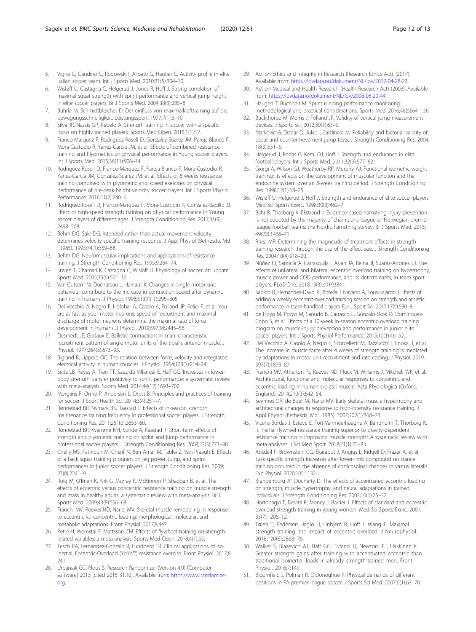- <span id="page-11-0"></span>5. Vigne G, Gaudino C, Rogowski I, Alloatti G, Hautier C. Activity profile in elite Italian soccer team. Int J Sports Med. 2010;31(5):304–10.
- 6. Wisløff U, Castagna C, Helgerud J, Jones R, Hoff J. Strong correlation of maximal squat strength with sprint performance and vertical jump height in elite soccer players. Br J Sports Med. 2004;38(3):285–8.
- 7. Bührle M, Schmidtbleicher D. Der einfluss von maximalkrafttraining auf die bewegungsschnelligkeit. Leistungssport. 1977;7(1):3–10.
- 8. Silva JR, Nassis GP, Rebelo A. Strength training in soccer with a specific focus on highly trained players. Sports Med Open. 2015;1(1):17.
- 9. Franco-Marquez F, Rodriguez-Rosell D, Gonzalez-Suarez JM, Pareja-Blanco F, Mora-Custodio R, Yanez-Garcia JM, et al. Effects of combined resistance training and Plyometrics on physical performance in Young soccer players. Int J Sports Med. 2015;36(11):906–14.
- 10. Rodriguez-Rosell D, Franco-Marquez F, Pareja-Blanco F, Mora-Custodio R, Yanez-Garcia JM, Gonzalez-Suarez JM, et al. Effects of 6 weeks resistance training combined with plyometric and speed exercises on physical performance of pre-peak-height-velocity soccer players. Int J Sports Physiol Performance. 2016;11(2):240–6.
- 11. Rodriguez-Rosell D, Franco-Marquez F, Mora-Custodio R, Gonzalez-Badillo JJ. Effect of high-speed strength training on physical performance in Young soccer players of different ages. J Strength Conditioning Res. 2017;31(9): 2498–508.
- 12. Behm DG, Sale DG. Intended rather than actual movement velocity determines velocity-specific training response. J Appl Physiol (Bethesda, Md : 1985). 1993;74(1):359–68.
- 13. Behm DG. Neuromuscular implications and applications of resistance training. J Strength Conditioning Res. 1995;9:264–74.
- 14. Stølen T, Chamari K, Castagna C, Wisloff U. Physiology of soccer: an update. Sports Med. 2005;35(6):501–36.
- 15. Van Cutsem M, Duchateau J, Hainaut K. Changes in single motor unit behaviour contribute to the increase in contraction speed after dynamic training in humans. J Physiol. 1998;513(Pt 1):295–305.
- 16. Del Vecchio A, Negro F, Holobar A, Casolo A, Folland JP, Felici F, et al. You are as fast as your motor neurons: speed of recruitment and maximal discharge of motor neurons determine the maximal rate of force development in humans. J Physiol. 2019;597(9):2445–56.
- 17. Desmedt JE, Godaux E. Ballistic contractions in man: characteristic recruitment pattern of single motor units of the tibialis anterior muscle. J Physiol. 1977;264(3):673–93.
- 18. Bigland B, Lippold OC. The relation between force, velocity and integrated electrical activity in human muscles. J Physiol. 1954;123(1):214–24.
- 19. Seitz LB, Reyes A, Tran TT, Saez de Villarreal E, Haff GG. Increases in lowerbody strength transfer positively to sprint performance: a systematic review with meta-analysis. Sports Med. 2014;44(12):1693–702.
- 20. Morgans R, Orme P, Anderson L, Drust B. Principles and practices of training for soccer. J Sport Health Sci. 2014;3(4):251–7.
- 21. Rønnestad BR, Nymark BS, Raastad T. Effects of in-season strength maintenance training frequency in professional soccer players. J Strength Conditioning Res. 2011;25(10):2653–60.
- 22. Rønnestad BR, Kvamme NH, Sunde A, Raastad T. Short-term effects of strength and plyometric training on sprint and jump performance in professional soccer players. J Strength Conditioning Res. 2008;22(3):773–80.
- 23. Chelly MS, Fathloun M, Cherif N, Ben Amar M, Tabka Z, Van Praagh E. Effects of a back squat training program on leg power, jump, and sprint performances in junior soccer players. J Strength Conditioning Res. 2009; 23(8):2241–9.
- 24. Roig M, O'Brien K, Kirk G, Murray R, McKinnon P, Shadgan B, et al. The effects of eccentric versus concentric resistance training on muscle strength and mass in healthy adults: a systematic review with meta-analysis. Br J Sports Med. 2009;43(8):556–68.
- 25. Franchi MV, Reeves ND, Narici MV. Skeletal muscle remodeling in response to eccentric vs. concentric loading: morphological, molecular, and metabolic adaptations. Front Physiol. 2017;8:447.
- 26. Petré H, Wernstal F, Mattsson CM. Effects of flywheel training on strengthrelated variables: a meta-analysis. Sports Med Open. 2018;4(1):55.
- 27. Tesch PA, Fernandez-Gonzalo R, Lundberg TR. Clinical applications of Iso-Inertial, Eccentric-Overload (YoYo™) resistance exercise. Front Physiol. 2017;8: 241.
- 28. Urbaniak GC, Plous S. Research Randomizer (Version 4.0) [Computer software] 2013 [cited 2015 31.10]. Available from: [https://www.randomizer.](https://www.randomizer.org) [org](https://www.randomizer.org).
- 29. Act on Ethics and Integrity in Research (Research Ethics Act), (2017). Available from: <https://lovdata.no/dokument/NL/lov/2017-04-28-23>.
- 30. Act on Medical and Health Research (Health Research Act) (2008). Available from: [https://lovdata.no/dokument/NL/lov/2008-06-20-44.](https://lovdata.no/dokument/NL/lov/2008-06-20-44)
- 31. Haugen T, Buchheit M. Sprint running performance monitoring: methodological and practical considerations. Sports Med. 2016;46(5):641–56.
- 32. Buckthorpe M, Morris J, Folland JP. Validity of vertical jump measurement devices. J Sports Sci. 2012;30(1):63–9.
- 33. Markovic G, Dizdar D, Jukic I, Cardinale M. Reliability and factorial validity of squat and countermovement jump tests. J Strength Conditioning Res. 2004; 18(3):551–5.
- 34. Helgerud J, Rodas G, Kemi OJ, Hoff J. Strength and endurance in elite football players. Int J Sports Med. 2011;32(9):677–82.
- 35. Giorgi A, Wilson GJ, Weatherby RP, Murphy AJ. Functional isometric weight training: its effects on the development of muscular function and the endocrine system over an 8-week training period. J Strength Conditioning Res. 1998;12(1):18–25.
- 36. Wisløff U, Helgerud J, Hoff J. Strength and endurance of elite soccer players. Med Sci Sports Exerc. 1998;30(3):462–7.
- 37. Bahr R, Thorborg K, Ekstrand J. Evidence-based hamstring injury prevention is not adopted by the majority of champions league or Norwegian premier league football teams: the Nordic hamstring survey. Br J Sports Med. 2015; 49(22):1466–71.
- 38. Rhea MR. Determining the magnitude of treatment effects in strength training research through the use of the effect size. J Strength Conditioning Res. 2004;18(4):918–20.
- 39. Núñez FJ, Santalla A, Carrasquila I, Asian JA, Reina JI, Suarez-Arrones LJ. The effects of unilateral and bilateral eccentric overload training on hypertrophy, muscle power and COD performance, and its determinants, in team sport players. PLoS One. 2018;13(3):e0193841.
- 40. Sabido R, Hernandez-Davo JL, Botella J, Navarro A, Tous-Fajardo J. Effects of adding a weekly eccentric-overload training session on strength and athletic performance in team-handball players. Eur J Sport Sci. 2017;17(5):530–8.
- 41. de Hoyo M, Pozzo M, Sanudo B, Carrasco L, Gonzalo-Skok O, Dominguez-Cobo S, et al. Effects of a 10-week in-season eccentric-overload training program on muscle-injury prevention and performance in junior elite soccer players. Int J Sports Physiol Performance. 2015;10(1):46–52.
- 42. Del Vecchio A, Casolo A, Negro F, Scorcelletti M, Bazzucchi I, Enoka R, et al. The increase in muscle force after 4 weeks of strength training is mediated by adaptations in motor unit recruitment and rate coding. J Physiol. 2019; 597(7):1873–87.
- 43. Franchi MV, Atherton PJ, Reeves ND, Fluck M, Williams J, Mitchell WK, et al. Architectural, functional and molecular responses to concentric and eccentric loading in human skeletal muscle. Acta Physiologica (Oxford, England). 2014;210(3):642–54.
- 44. Seynnes OR, de Boer M, Narici MV. Early skeletal muscle hypertrophy and architectural changes in response to high-intensity resistance training. J Appl Physiol (Bethesda, Md : 1985). 2007;102(1):368–73.
- 45. Vicens-Bordas J, Esteve E, Fort-Vanmeerhaeghe A, Bandholm T, Thorborg K. Is inertial flywheel resistance training superior to gravity-dependent resistance training in improving muscle strength? A systematic review with meta-analyses. J Sci Med Sport. 2018;21(1):75–83.
- 46. Ansdell P, Brownstein CG, Škarabot J, Angius L, Kidgell D, Frazer A, et al. Task-specific strength increases after lower-limb compound resistance training occurred in the absence of corticospinal changes in vastus lateralis. Exp Physiol. 2020;105:1132.
- 47. Brandenburg JP, Docherty D. The effects of accentuated eccentric loading on strength, muscle hypertrophy, and neural adaptations in trained individuals. J Strength Conditioning Res. 2002;16(1):25–32.
- 48. Hortobagyi T, Devita P, Money J, Barrier J. Effects of standard and eccentric overload strength training in young women. Med Sci Sports Exerc. 2001; 33(7):1206–12.
- 49. Tøien T, Pedersen Haglo H, Unhjem R, Hoff J, Wang E. Maximal strength training: the impact of eccentric overload. J Neurophysiol. 2018;120(6):2868–76.
- 50. Walker S, Blazevich AJ, Haff GG, Tufano JJ, Newton RU, Hakkinen K. Greater strength gains after training with accentuated eccentric than traditional Isoinertial loads in already strength-trained men. Front Physiol. 2016;7:149.
- 51. Bloomfield J, Polman R, O'Donoghue P. Physical demands of different positions in FA premier league soccer. J Sports Sci Med. 2007;6(1):63–70.